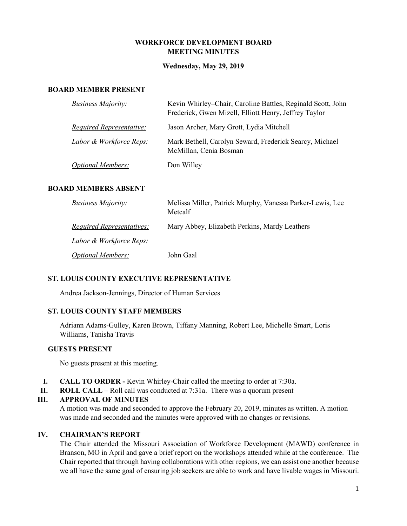## **WORKFORCE DEVELOPMENT BOARD MEETING MINUTES**

### **Wednesday, May 29, 2019**

### **BOARD MEMBER PRESENT**

| <b>Business Majority:</b>          | Kevin Whirley–Chair, Caroline Battles, Reginald Scott, John<br>Frederick, Gwen Mizell, Elliott Henry, Jeffrey Taylor |
|------------------------------------|----------------------------------------------------------------------------------------------------------------------|
| <b>Required Representative:</b>    | Jason Archer, Mary Grott, Lydia Mitchell                                                                             |
| <b>Labor &amp; Workforce Reps:</b> | Mark Bethell, Carolyn Seward, Frederick Searcy, Michael<br>McMillan, Cenia Bosman                                    |
| <b>Optional Members:</b>           | Don Willey                                                                                                           |

### **BOARD MEMBERS ABSENT**

| <i>Business Majority:</i>          | Melissa Miller, Patrick Murphy, Vanessa Parker-Lewis, Lee<br>Metcalf |
|------------------------------------|----------------------------------------------------------------------|
| <i>Required Representatives:</i>   | Mary Abbey, Elizabeth Perkins, Mardy Leathers                        |
| <u>Labor &amp; Workforce Reps:</u> |                                                                      |
| <b>Optional Members:</b>           | John Gaal                                                            |

### **ST. LOUIS COUNTY EXECUTIVE REPRESENTATIVE**

Andrea Jackson-Jennings, Director of Human Services

## **ST. LOUIS COUNTY STAFF MEMBERS**

Adriann Adams-Gulley, Karen Brown, Tiffany Manning, Robert Lee, Michelle Smart, Loris Williams, Tanisha Travis

### **GUESTS PRESENT**

No guests present at this meeting.

- **I. CALL TO ORDER -** Kevin Whirley-Chair called the meeting to order at 7:30a.
- **II. ROLL CALL**  Roll call was conducted at 7:31a. There was a quorum present

### **III. APPROVAL OF MINUTES**

A motion was made and seconded to approve the February 20, 2019, minutes as written. A motion was made and seconded and the minutes were approved with no changes or revisions.

## **IV. CHAIRMAN'S REPORT**

The Chair attended the Missouri Association of Workforce Development (MAWD) conference in Branson, MO in April and gave a brief report on the workshops attended while at the conference. The Chair reported that through having collaborations with other regions, we can assist one another because we all have the same goal of ensuring job seekers are able to work and have livable wages in Missouri.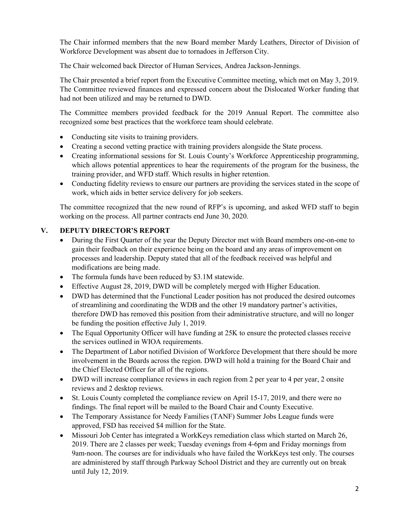The Chair informed members that the new Board member Mardy Leathers, Director of Division of Workforce Development was absent due to tornadoes in Jefferson City.

The Chair welcomed back Director of Human Services, Andrea Jackson-Jennings.

The Chair presented a brief report from the Executive Committee meeting, which met on May 3, 2019. The Committee reviewed finances and expressed concern about the Dislocated Worker funding that had not been utilized and may be returned to DWD.

The Committee members provided feedback for the 2019 Annual Report. The committee also recognized some best practices that the workforce team should celebrate.

- Conducting site visits to training providers.
- Creating a second vetting practice with training providers alongside the State process.
- Creating informational sessions for St. Louis County's Workforce Apprenticeship programming, which allows potential apprentices to hear the requirements of the program for the business, the training provider, and WFD staff. Which results in higher retention.
- Conducting fidelity reviews to ensure our partners are providing the services stated in the scope of work, which aids in better service delivery for job seekers.

The committee recognized that the new round of RFP's is upcoming, and asked WFD staff to begin working on the process. All partner contracts end June 30, 2020.

# **V. DEPUTY DIRECTOR'S REPORT**

- During the First Quarter of the year the Deputy Director met with Board members one-on-one to gain their feedback on their experience being on the board and any areas of improvement on processes and leadership. Deputy stated that all of the feedback received was helpful and modifications are being made.
- The formula funds have been reduced by \$3.1M statewide.
- Effective August 28, 2019, DWD will be completely merged with Higher Education.
- DWD has determined that the Functional Leader position has not produced the desired outcomes of streamlining and coordinating the WDB and the other 19 mandatory partner's activities, therefore DWD has removed this position from their administrative structure, and will no longer be funding the position effective July 1, 2019.
- The Equal Opportunity Officer will have funding at 25K to ensure the protected classes receive the services outlined in WIOA requirements.
- The Department of Labor notified Division of Workforce Development that there should be more involvement in the Boards across the region. DWD will hold a training for the Board Chair and the Chief Elected Officer for all of the regions.
- DWD will increase compliance reviews in each region from 2 per year to 4 per year, 2 onsite reviews and 2 desktop reviews.
- St. Louis County completed the compliance review on April 15-17, 2019, and there were no findings. The final report will be mailed to the Board Chair and County Executive.
- The Temporary Assistance for Needy Families (TANF) Summer Jobs League funds were approved, FSD has received \$4 million for the State.
- Missouri Job Center has integrated a WorkKeys remediation class which started on March 26, 2019. There are 2 classes per week; Tuesday evenings from 4-6pm and Friday mornings from 9am-noon. The courses are for individuals who have failed the WorkKeys test only. The courses are administered by staff through Parkway School District and they are currently out on break until July 12, 2019.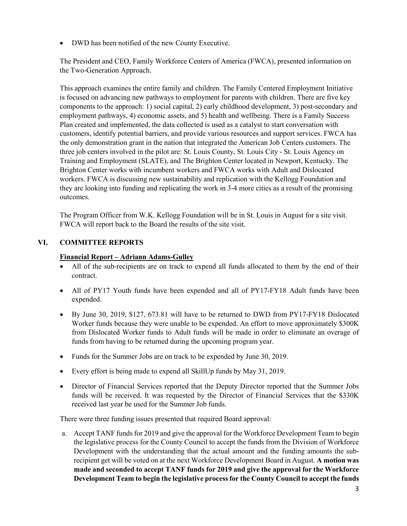• DWD has been notified of the new County Executive.

The President and CEO, Family Workforce Centers of America (FWCA), presented information on the Two-Generation Approach.

This approach examines the entire family and children. The Family Centered Employment Initiative is focused on advancing new pathways to employment for parents with children. There are five key components to the approach: 1) social capital, 2) early childhood development, 3) post-secondary and employment pathways, 4) economic assets, and 5) health and wellbeing. There is a Family Success Plan created and implemented, the data collected is used as a catalyst to start conversation with customers, identify potential barriers, and provide various resources and support services. FWCA has the only demonstration grant in the nation that integrated the American Job Centers customers. The three job centers involved in the pilot are: St. Louis County, St. Louis City - St. Louis Agency on Training and Employment (SLATE), and The Brighton Center located in Newport, Kentucky. The Brighton Center works with incumbent workers and FWCA works with Adult and Dislocated workers. FWCA is discussing new sustainability and replication with the Kellogg Foundation and they are looking into funding and replicating the work in 3-4 more cities as a result of the promising outcomes.

The Program Officer from W.K. Kellogg Foundation will be in St. Louis in August for a site visit. FWCA will report back to the Board the results of the site visit.

# **VI. COMMITTEE REPORTS**

## **Financial Report – Adriann Adams-Gulley**

- All of the sub-recipients are on track to expend all funds allocated to them by the end of their contract.
- All of PY17 Youth funds have been expended and all of PY17-FY18 Adult funds have been expended.
- By June 30, 2019, \$127, 673.81 will have to be returned to DWD from PY17-FY18 Dislocated Worker funds because they were unable to be expended. An effort to move approximately \$300K from Dislocated Worker funds to Adult funds will be made in order to eliminate an overage of funds from having to be returned during the upcoming program year.
- Funds for the Summer Jobs are on track to be expended by June 30, 2019.
- Every effort is being made to expend all SkillUp funds by May 31, 2019.
- Director of Financial Services reported that the Deputy Director reported that the Summer Jobs funds will be received. It was requested by the Director of Financial Services that the \$330K received last year be used for the Summer Job funds.

There were three funding issues presented that required Board approval:

a. Accept TANF funds for 2019 and give the approval for the Workforce Development Team to begin the legislative process for the County Council to accept the funds from the Division of Workforce Development with the understanding that the actual amount and the funding amounts the subrecipient get will be voted on at the next Workforce Development Board in August. **A motion was made and seconded to accept TANF funds for 2019 and give the approval for the Workforce Development Team to begin the legislative process for the County Council to accept the funds**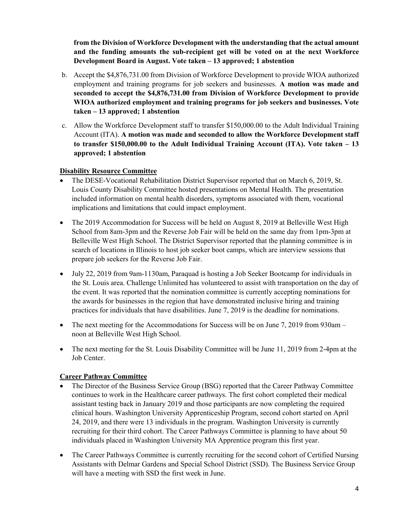**from the Division of Workforce Development with the understanding that the actual amount and the funding amounts the sub-recipient get will be voted on at the next Workforce Development Board in August. Vote taken – 13 approved; 1 abstention**

- b. Accept the \$4,876,731.00 from Division of Workforce Development to provide WIOA authorized employment and training programs for job seekers and businesses. **A motion was made and seconded to accept the \$4,876,731.00 from Division of Workforce Development to provide WIOA authorized employment and training programs for job seekers and businesses. Vote taken – 13 approved; 1 abstention**
- c. Allow the Workforce Development staff to transfer \$150,000.00 to the Adult Individual Training Account (ITA). **A motion was made and seconded to allow the Workforce Development staff to transfer \$150,000.00 to the Adult Individual Training Account (ITA). Vote taken – 13 approved; 1 abstention**

## **Disability Resource Committee**

- The DESE-Vocational Rehabilitation District Supervisor reported that on March 6, 2019, St. Louis County Disability Committee hosted presentations on Mental Health. The presentation included information on mental health disorders, symptoms associated with them, vocational implications and limitations that could impact employment.
- The 2019 Accommodation for Success will be held on August 8, 2019 at Belleville West High School from 8am-3pm and the Reverse Job Fair will be held on the same day from 1pm-3pm at Belleville West High School. The District Supervisor reported that the planning committee is in search of locations in Illinois to host job seeker boot camps, which are interview sessions that prepare job seekers for the Reverse Job Fair.
- July 22, 2019 from 9am-1130am, Paraquad is hosting a Job Seeker Bootcamp for individuals in the St. Louis area. Challenge Unlimited has volunteered to assist with transportation on the day of the event. It was reported that the nomination committee is currently accepting nominations for the awards for businesses in the region that have demonstrated inclusive hiring and training practices for individuals that have disabilities. June 7, 2019 is the deadline for nominations.
- The next meeting for the Accommodations for Success will be on June 7, 2019 from 930am noon at Belleville West High School.
- The next meeting for the St. Louis Disability Committee will be June 11, 2019 from 2-4pm at the Job Center.

## **Career Pathway Committee**

- The Director of the Business Service Group (BSG) reported that the Career Pathway Committee continues to work in the Healthcare career pathways. The first cohort completed their medical assistant testing back in January 2019 and those participants are now completing the required clinical hours. Washington University Apprenticeship Program, second cohort started on April 24, 2019, and there were 13 individuals in the program. Washington University is currently recruiting for their third cohort. The Career Pathways Committee is planning to have about 50 individuals placed in Washington University MA Apprentice program this first year.
- The Career Pathways Committee is currently recruiting for the second cohort of Certified Nursing Assistants with Delmar Gardens and Special School District (SSD). The Business Service Group will have a meeting with SSD the first week in June.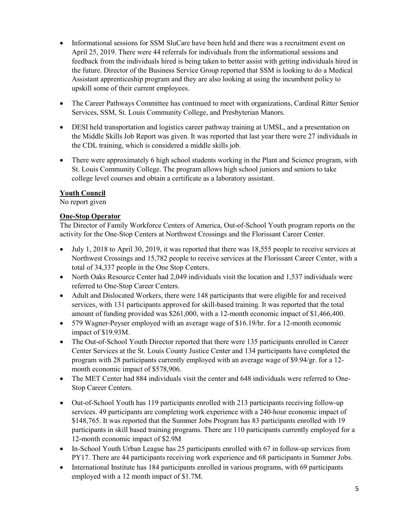- Informational sessions for SSM SluCare have been held and there was a recruitment event on April 25, 2019. There were 44 referrals for individuals from the informational sessions and feedback from the individuals hired is being taken to better assist with getting individuals hired in the future. Director of the Business Service Group reported that SSM is looking to do a Medical Assistant apprenticeship program and they are also looking at using the incumbent policy to upskill some of their current employees.
- The Career Pathways Committee has continued to meet with organizations, Cardinal Ritter Senior Services, SSM, St. Louis Community College, and Presbyterian Manors.
- DESI held transportation and logistics career pathway training at UMSL, and a presentation on the Middle Skills Job Report was given. It was reported that last year there were 27 individuals in the CDL training, which is considered a middle skills job.
- There were approximately 6 high school students working in the Plant and Science program, with St. Louis Community College. The program allows high school juniors and seniors to take college level courses and obtain a certificate as a laboratory assistant.

## **Youth Council**

No report given

## **One-Stop Operator**

The Director of Family Workforce Centers of America, Out-of-School Youth program reports on the activity for the One-Stop Centers at Northwest Crossings and the Florissant Career Center.

- July 1, 2018 to April 30, 2019, it was reported that there was 18,555 people to receive services at Northwest Crossings and 15,782 people to receive services at the Florissant Career Center, with a total of 34,337 people in the One Stop Centers.
- North Oaks Resource Center had 2,049 individuals visit the location and 1,537 individuals were referred to One-Stop Career Centers.
- Adult and Dislocated Workers, there were 148 participants that were eligible for and received services, with 131 participants approved for skill-based training. It was reported that the total amount of funding provided was \$261,000, with a 12-month economic impact of \$1,466,400.
- 579 Wagner-Peyser employed with an average wage of \$16.19/hr. for a 12-month economic impact of \$19.93M.
- The Out-of-School Youth Director reported that there were 135 participants enrolled in Career Center Services at the St. Louis County Justice Center and 134 participants have completed the program with 28 participants currently employed with an average wage of \$9.94/gr. for a 12 month economic impact of \$578,906.
- The MET Center had 884 individuals visit the center and 648 individuals were referred to One-Stop Career Centers.
- Out-of-School Youth has 119 participants enrolled with 213 participants receiving follow-up services. 49 participants are completing work experience with a 240-hour economic impact of \$148,765. It was reported that the Summer Jobs Program has 83 participants enrolled with 19 participants in skill based training programs. There are 110 participants currently employed for a 12-month economic impact of \$2.9M
- In-School Youth Urban League has 25 participants enrolled with 67 in follow-up services from PY17. There are 44 participants receiving work experience and 68 participants in Summer Jobs.
- International Institute has 184 participants enrolled in various programs, with 69 participants employed with a 12 month impact of \$1.7M.